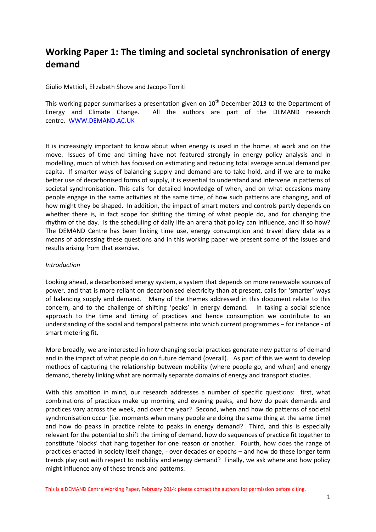# **Working Paper 1: The timing and societal synchronisation of energy demand**

Giulio Mattioli, Elizabeth Shove and Jacopo Torriti

This working paper summarises a presentation given on  $10<sup>th</sup>$  December 2013 to the Department of Energy and Climate Change. All the authors are part of the DEMAND research centre. [WWW.DEMAND.AC.UK](http://www.demand.ac.uk/)

It is increasingly important to know about when energy is used in the home, at work and on the move. Issues of time and timing have not featured strongly in energy policy analysis and in modelling, much of which has focused on estimating and reducing total average annual demand per capita. If smarter ways of balancing supply and demand are to take hold, and if we are to make better use of decarbonised forms of supply, it is essential to understand and intervene in patterns of societal synchronisation. This calls for detailed knowledge of when, and on what occasions many people engage in the same activities at the same time, of how such patterns are changing, and of how might they be shaped. In addition, the impact of smart meters and controls partly depends on whether there is, in fact scope for shifting the timing of what people do, and for changing the rhythm of the day. Is the scheduling of daily life an arena that policy can influence, and if so how? The DEMAND Centre has been linking time use, energy consumption and travel diary data as a means of addressing these questions and in this working paper we present some of the issues and results arising from that exercise.

## *Introduction*

Looking ahead, a decarbonised energy system, a system that depends on more renewable sources of power, and that is more reliant on decarbonised electricity than at present, calls for 'smarter' ways of balancing supply and demand. Many of the themes addressed in this document relate to this concern, and to the challenge of shifting 'peaks' in energy demand. In taking a social science approach to the time and timing of practices and hence consumption we contribute to an understanding of the social and temporal patterns into which current programmes – for instance - of smart metering fit.

More broadly, we are interested in how changing social practices generate new patterns of demand and in the impact of what people do on future demand (overall). As part of this we want to develop methods of capturing the relationship between mobility (where people go, and when) and energy demand, thereby linking what are normally separate domains of energy and transport studies.

With this ambition in mind, our research addresses a number of specific questions: first, what combinations of practices make up morning and evening peaks, and how do peak demands and practices vary across the week, and over the year? Second, when and how do patterns of societal synchronisation occur (i.e. moments when many people are doing the same thing at the same time) and how do peaks in practice relate to peaks in energy demand? Third, and this is especially relevant for the potential to shift the timing of demand, how do sequences of practice fit together to constitute 'blocks' that hang together for one reason or another. Fourth, how does the range of practices enacted in society itself change, - over decades or epochs – and how do these longer term trends play out with respect to mobility and energy demand? Finally, we ask where and how policy might influence any of these trends and patterns.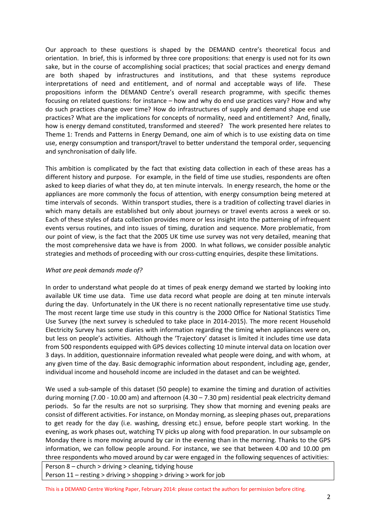Our approach to these questions is shaped by the DEMAND centre's theoretical focus and orientation. In brief, this is informed by three core propositions: that energy is used not for its own sake, but in the course of accomplishing social practices; that social practices and energy demand are both shaped by infrastructures and institutions, and that these systems reproduce interpretations of need and entitlement, and of normal and acceptable ways of life. These propositions inform the DEMAND Centre's overall research programme, with specific themes focusing on related questions: for instance – how and why do end use practices vary? How and why do such practices change over time? How do infrastructures of supply and demand shape end use practices? What are the implications for concepts of normality, need and entitlement? And, finally, how is energy demand constituted, transformed and steered? The work presented here relates to Theme 1: Trends and Patterns in Energy Demand, one aim of which is to use existing data on time use, energy consumption and transport/travel to better understand the temporal order, sequencing and synchronisation of daily life.

This ambition is complicated by the fact that existing data collection in each of these areas has a different history and purpose. For example, in the field of time use studies, respondents are often asked to keep diaries of what they do, at ten minute intervals. In energy research, the home or the appliances are more commonly the focus of attention, with energy consumption being metered at time intervals of seconds. Within transport studies, there is a tradition of collecting travel diaries in which many details are established but only about journeys or travel events across a week or so. Each of these styles of data collection provides more or less insight into the patterning of infrequent events versus routines, and into issues of timing, duration and sequence. More problematic, from our point of view, is the fact that the 2005 UK time use survey was not very detailed, meaning that the most comprehensive data we have is from 2000. In what follows, we consider possible analytic strategies and methods of proceeding with our cross-cutting enquiries, despite these limitations.

## *What are peak demands made of?*

In order to understand what people do at times of peak energy demand we started by looking into available UK time use data. Time use data record what people are doing at ten minute intervals during the day. Unfortunately in the UK there is no recent nationally representative time use study. The most recent large time use study in this country is the 2000 Office for National Statistics Time Use Survey (the next survey is scheduled to take place in 2014-2015). The more recent Household Electricity Survey has some diaries with information regarding the timing when appliances were on, but less on people's activities. Although the 'Trajectory' dataset is limited it includes time use data from 500 respondents equipped with GPS devices collecting 10 minute interval data on location over 3 days. In addition, questionnaire information revealed what people were doing, and with whom, at any given time of the day. Basic demographic information about respondent, including age, gender, individual income and household income are included in the dataset and can be weighted.

We used a sub-sample of this dataset (50 people) to examine the timing and duration of activities during morning (7.00 - 10.00 am) and afternoon (4.30 – 7.30 pm) residential peak electricity demand periods. So far the results are not so surprising. They show that morning and evening peaks are consist of different activities. For instance, on Monday morning, as sleeping phases out, preparations to get ready for the day (i.e. washing, dressing etc.) ensue, before people start working. In the evening, as work phases out, watching TV picks up along with food preparation. In our subsample on Monday there is more moving around by car in the evening than in the morning. Thanks to the GPS information, we can follow people around. For instance, we see that between 4.00 and 10.00 pm three respondents who moved around by car were engaged in the following sequences of activities:

Person 8 – church > driving > cleaning, tidying house Person 11 – resting > driving > shopping > driving > work for job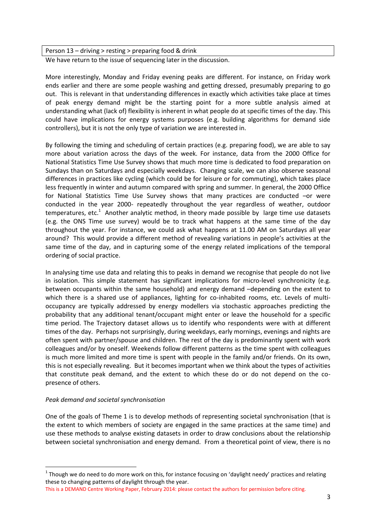Person 13 – driving > resting > preparing food & drink

We have return to the issue of sequencing later in the discussion.

More interestingly, Monday and Friday evening peaks are different. For instance, on Friday work ends earlier and there are some people washing and getting dressed, presumably preparing to go out. This is relevant in that understanding differences in exactly which activities take place at times of peak energy demand might be the starting point for a more subtle analysis aimed at understanding what (lack of) flexibility is inherent in what people do at specific times of the day. This could have implications for energy systems purposes (e.g. building algorithms for demand side controllers), but it is not the only type of variation we are interested in.

By following the timing and scheduling of certain practices (e.g. preparing food), we are able to say more about variation across the days of the week. For instance, data from the 2000 Office for National Statistics Time Use Survey shows that much more time is dedicated to food preparation on Sundays than on Saturdays and especially weekdays. Changing scale, we can also observe seasonal differences in practices like cycling (which could be for leisure or for commuting), which takes place less frequently in winter and autumn compared with spring and summer. In general, the 2000 Office for National Statistics Time Use Survey shows that many practices are conducted –or were conducted in the year 2000- repeatedly throughout the year regardless of weather, outdoor temperatures, etc.<sup>1</sup> Another analytic method, in theory made possible by large time use datasets (e.g. the ONS Time use survey) would be to track what happens at the same time of the day throughout the year. For instance, we could ask what happens at 11.00 AM on Saturdays all year around? This would provide a different method of revealing variations in people's activities at the same time of the day, and in capturing some of the energy related implications of the temporal ordering of social practice.

In analysing time use data and relating this to peaks in demand we recognise that people do not live in isolation. This simple statement has significant implications for micro-level synchronicity (e.g. between occupants within the same household) and energy demand –depending on the extent to which there is a shared use of appliances, lighting for co-inhabited rooms, etc. Levels of multioccupancy are typically addressed by energy modellers via stochastic approaches predicting the probability that any additional tenant/occupant might enter or leave the household for a specific time period. The Trajectory dataset allows us to identify who respondents were with at different times of the day. Perhaps not surprisingly, during weekdays, early mornings, evenings and nights are often spent with partner/spouse and children. The rest of the day is predominantly spent with work colleagues and/or by oneself. Weekends follow different patterns as the time spent with colleagues is much more limited and more time is spent with people in the family and/or friends. On its own, this is not especially revealing. But it becomes important when we think about the types of activities that constitute peak demand, and the extent to which these do or do not depend on the copresence of others.

# *Peak demand and societal synchronisation*

**.** 

One of the goals of Theme 1 is to develop methods of representing societal synchronisation (that is the extent to which members of society are engaged in the same practices at the same time) and use these methods to analyse existing datasets in order to draw conclusions about the relationship between societal synchronisation and energy demand. From a theoretical point of view, there is no

 $1$  Though we do need to do more work on this, for instance focusing on 'daylight needy' practices and relating these to changing patterns of daylight through the year.

This is a DEMAND Centre Working Paper, February 2014: please contact the authors for permission before citing.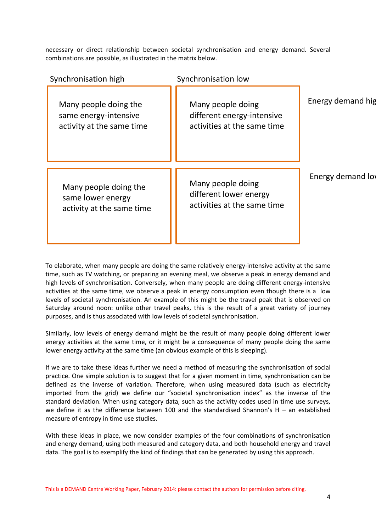necessary or direct relationship between societal synchronisation and energy demand. Several combinations are possible, as illustrated in the matrix below.

| Synchronisation high                                                        | Synchronisation low                                                            |                   |
|-----------------------------------------------------------------------------|--------------------------------------------------------------------------------|-------------------|
| Many people doing the<br>same energy-intensive<br>activity at the same time | Many people doing<br>different energy-intensive<br>activities at the same time | Energy demand hig |
| Many people doing the<br>same lower energy<br>activity at the same time     | Many people doing<br>different lower energy<br>activities at the same time     | Energy demand low |

To elaborate, when many people are doing the same relatively energy-intensive activity at the same time, such as TV watching, or preparing an evening meal, we observe a peak in energy demand and high levels of synchronisation. Conversely, when many people are doing different energy-intensive activities at the same time, we observe a peak in energy consumption even though there is a low levels of societal synchronisation. An example of this might be the travel peak that is observed on Saturday around noon: unlike other travel peaks, this is the result of a great variety of journey purposes, and is thus associated with low levels of societal synchronisation.

Similarly, low levels of energy demand might be the result of many people doing different lower energy activities at the same time, or it might be a consequence of many people doing the same lower energy activity at the same time (an obvious example of this is sleeping).

If we are to take these ideas further we need a method of measuring the synchronisation of social practice. One simple solution is to suggest that for a given moment in time, synchronisation can be defined as the inverse of variation. Therefore, when using measured data (such as electricity imported from the grid) we define our "societal synchronisation index" as the inverse of the standard deviation. When using category data, such as the activity codes used in time use surveys, we define it as the difference between 100 and the standardised Shannon's H – an established measure of entropy in time use studies.

With these ideas in place, we now consider examples of the four combinations of synchronisation and energy demand, using both measured and category data, and both household energy and travel data. The goal is to exemplify the kind of findings that can be generated by using this approach.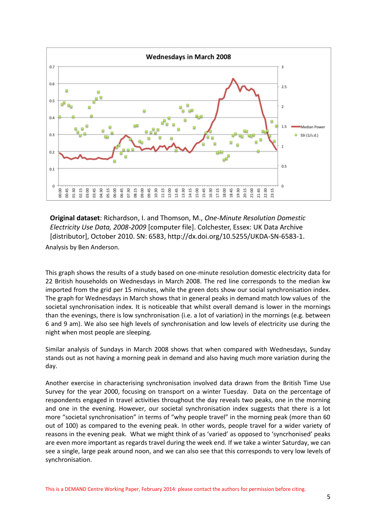

Analysis by Ben Anderson. **Original dataset**: Richardson, I. and Thomson, M., *One-Minute Resolution Domestic Electricity Use Data, 2008-2009* [computer file]. Colchester, Essex: UK Data Archive [distributor], October 2010. SN: 6583, http://dx.doi.org/10.5255/UKDA-SN-6583-1.

This graph shows the results of a study based on one-minute resolution domestic electricity data for 22 British households on Wednesdays in March 2008. The red line corresponds to the median kw imported from the grid per 15 minutes, while the green dots show our social synchronisation index. The graph for Wednesdays in March shows that in general peaks in demand match low values of the societal synchronisation index. It is noticeable that whilst overall demand is lower in the mornings than the evenings, there is low synchronisation (i.e. a lot of variation) in the mornings (e.g. between 6 and 9 am). We also see high levels of synchronisation and low levels of electricity use during the night when most people are sleeping.

Similar analysis of Sundays in March 2008 shows that when compared with Wednesdays, Sunday stands out as not having a morning peak in demand and also having much more variation during the day.

Another exercise in characterising synchronisation involved data drawn from the British Time Use Survey for the year 2000, focusing on transport on a winter Tuesday. Data on the percentage of respondents engaged in travel activities throughout the day reveals two peaks, one in the morning and one in the evening. However, our societal synchronisation index suggests that there is a lot more "societal synchronisation" in terms of "why people travel" in the morning peak (more than 60 out of 100) as compared to the evening peak. In other words, people travel for a wider variety of reasons in the evening peak. What we might think of as 'varied' as opposed to 'syncrhonised' peaks are even more important as regards travel during the week end. If we take a winter Saturday, we can see a single, large peak around noon, and we can also see that this corresponds to very low levels of synchronisation.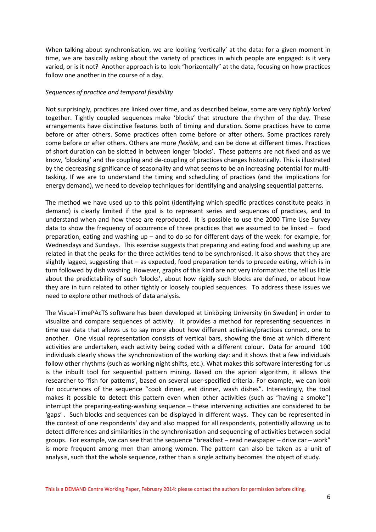When talking about synchronisation, we are looking 'vertically' at the data: for a given moment in time, we are basically asking about the variety of practices in which people are engaged: is it very varied, or is it not? Another approach is to look "horizontally" at the data, focusing on how practices follow one another in the course of a day.

### *Sequences of practice and temporal flexibility*

Not surprisingly, practices are linked over time, and as described below, some are very *tightly locked*  together. Tightly coupled sequences make 'blocks' that structure the rhythm of the day. These arrangements have distinctive features both of timing and duration. Some practices have to come before or after others. Some practices often come before or after others. Some practices rarely come before or after others. Others are more *flexible,* and can be done at different times. Practices of short duration can be slotted in between longer 'blocks'. These patterns are not fixed and as we know, 'blocking' and the coupling and de-coupling of practices changes historically. This is illustrated by the decreasing significance of seasonality and what seems to be an increasing potential for multitasking. If we are to understand the timing and scheduling of practices (and the implications for energy demand), we need to develop techniques for identifying and analysing sequential patterns.

The method we have used up to this point (identifying which specific practices constitute peaks in demand) is clearly limited if the goal is to represent series and sequences of practices, and to understand when and how these are reproduced. It is possible to use the 2000 Time Use Survey data to show the frequency of occurrence of three practices that we assumed to be linked – food preparation, eating and washing up – and to do so for different days of the week: for example, for Wednesdays and Sundays. This exercise suggests that preparing and eating food and washing up are related in that the peaks for the three activities tend to be synchronised. It also shows that they are slightly lagged, suggesting that – as expected, food preparation tends to precede eating, which is in turn followed by dish washing. However, graphs of this kind are not very informative: the tell us little about the predictability of such 'blocks', about how rigidly such blocks are defined, or about how they are in turn related to other tightly or loosely coupled sequences. To address these issues we need to explore other methods of data analysis.

The Visual-TimePAcTS software has been developed at Linköping University (in Sweden) in order to visualize and compare sequences of activity. It provides a method for representing sequences in time use data that allows us to say more about how different activities/practices connect, one to another. One visual representation consists of vertical bars, showing the time at which different activities are undertaken, each activity being coded with a different colour. Data for around 100 individuals clearly shows the synchronization of the working day: and it shows that a few individuals follow other rhythms (such as working night shifts, etc.). What makes this software interesting for us is the inbuilt tool for sequential pattern mining. Based on the apriori algorithm, it allows the researcher to 'fish for patterns', based on several user-specified criteria. For example, we can look for occurrences of the sequence "cook dinner, eat dinner, wash dishes". Interestingly, the tool makes it possible to detect this pattern even when other activities (such as "having a smoke") interrupt the preparing-eating-washing sequence – these intervening activities are considered to be 'gaps' . Such blocks and sequences can be displayed in different ways. They can be represented in the context of one respondents' day and also mapped for all respondents, potentially allowing us to detect differences and similarities in the synchronisation and sequencing of activities between social groups. For example, we can see that the sequence "breakfast – read newspaper – drive car – work" is more frequent among men than among women. The pattern can also be taken as a unit of analysis, such that the whole sequence, rather than a single activity becomes the object of study.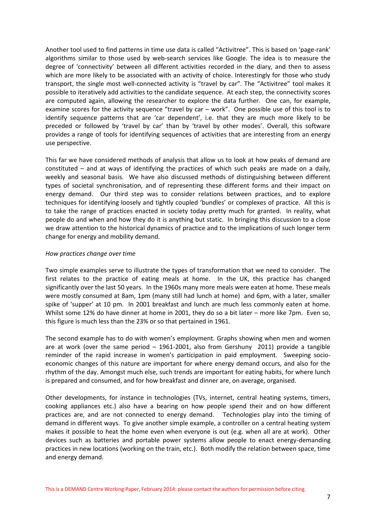Another tool used to find patterns in time use data is called "Activitree". This is based on 'page-rank' algorithms similar to those used by web-search services like Google. The idea is to measure the degree of 'connectivity' between all different activities recorded in the diary, and then to assess which are more likely to be associated with an activity of choice. Interestingly for those who study transport, the single most well-connected activity is "travel by car". The "Activitree" tool makes it possible to iteratively add activities to the candidate sequence. At each step, the connectivity scores are computed again, allowing the researcher to explore the data further. One can, for example, examine scores for the activity sequence "travel by car – work". One possible use of this tool is to identify sequence patterns that are 'car dependent', i.e. that they are much more likely to be preceded or followed by 'travel by car' than by 'travel by other modes'. Overall, this software provides a range of tools for identifying sequences of activities that are interesting from an energy use perspective.

This far we have considered methods of analysis that allow us to look at how peaks of demand are constituted – and at ways of identifying the practices of which such peaks are made on a daily, weekly and seasonal basis. We have also discussed methods of distinguishing between different types of societal synchronisation, and of representing these different forms and their impact on energy demand. Our third step was to consider relations between practices, and to explore techniques for identifying loosely and tightly coupled 'bundles' or complexes of practice. All this is to take the range of practices enacted in society today pretty much for granted. In reality, what people do and when and how they do it is anything but static. In bringing this discussion to a close we draw attention to the historical dynamics of practice and to the implications of such longer term change for energy and mobility demand.

### *How practices change over time*

Two simple examples serve to illustrate the types of transformation that we need to consider. The first relates to the practice of eating meals at home. In the UK, this practice has changed significantly over the last 50 years. In the 1960s many more meals were eaten at home. These meals were mostly consumed at 8am, 1pm (many still had lunch at home) and 6pm, with a later, smaller spike of 'supper' at 10 pm. In 2001 breakfast and lunch are much less commonly eaten at home. Whilst some 12% do have dinner at home in 2001, they do so a bit later – more like 7pm. Even so, this figure is much less than the 23% or so that pertained in 1961.

The second example has to do with women's employment. Graphs showing when men and women are at work (over the same period – 1961-2001, also from Gershuny 2011) provide a tangible reminder of the rapid increase in women's participation in paid employment. Sweeping socioeconomic changes of this nature are important for where energy demand occurs, and also for the rhythm of the day. Amongst much else, such trends are important for eating habits, for where lunch is prepared and consumed, and for how breakfast and dinner are, on average, organised.

Other developments, for instance in technologies (TVs, internet, central heating systems, timers, cooking appliances etc.) also have a bearing on how people spend their and on how different practices are, and are not connected to energy demand. Technologies play into the timing of demand in different ways. To give another simple example, a controller on a central heating system makes it possible to heat the home even when everyone is out (e.g. when all are at work). Other devices such as batteries and portable power systems allow people to enact energy-demanding practices in new locations (working on the train, etc.). Both modify the relation between space, time and energy demand.